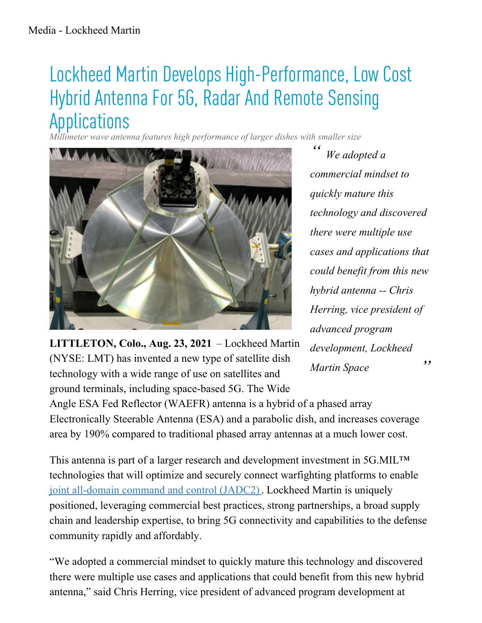## Lockheed Martin Develops High-Performance, Low Cost Hybrid Antenna For 5G, Radar And Remote Sensing Applications

*Millimeter wave antenna features high performance of larger dishes with smaller size*



*" " We adopted a commercial mindset to quickly mature this technology and discovered there were multiple use cases and applications that could benefit from this new hybrid antenna -- Chris Herring, vice president of advanced program development, Lockheed Martin Space*

**LITTLETON, Colo., Aug. 23, 2021** – Lockheed Martin (NYSE: LMT) has invented a new type of satellite dish technology with a wide range of use on satellites and ground terminals, including space-based 5G. The Wide

Angle ESA Fed Reflector (WAEFR) antenna is a hybrid of a phased array Electronically Steerable Antenna (ESA) and a parabolic dish, and increases coverage area by 190% compared to traditional phased array antennas at a much lower cost.

This antenna is part of a larger research and development investment in 5G.MIL™ technologies that will optimize and securely connect warfighting platforms to enable joint [all-domain](https://lockheedmartin.com/jadc2) command and control (JADC2). Lockheed Martin is uniquely positioned, leveraging commercial best practices, strong partnerships, a broad supply chain and leadership expertise, to bring 5G connectivity and capabilities to the defense community rapidly and affordably.

"We adopted a commercial mindset to quickly mature this technology and discovered there were multiple use cases and applications that could benefit from this new hybrid antenna," said Chris Herring, vice president of advanced program development at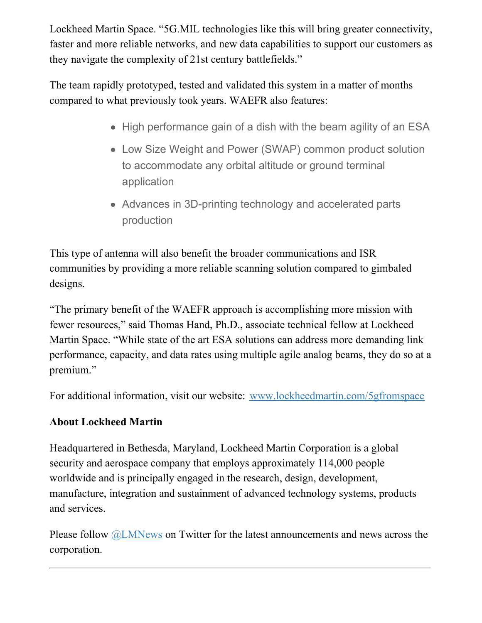Lockheed Martin Space. "5G.MIL technologies like this will bring greater connectivity, faster and more reliable networks, and new data capabilities to support our customers as they navigate the complexity of 21st century battlefields."

The team rapidly prototyped, tested and validated this system in a matter of months compared to what previously took years. WAEFR also features:

- High performance gain of a dish with the beam agility of an ESA
- Low Size Weight and Power (SWAP) common product solution to accommodate any orbital altitude or ground terminal application
- Advances in 3D-printing technology and accelerated parts production

This type of antenna will also benefit the broader communications and ISR communities by providing a more reliable scanning solution compared to gimbaled designs.

"The primary benefit of the WAEFR approach is accomplishing more mission with fewer resources," said Thomas Hand, Ph.D., associate technical fellow at Lockheed Martin Space. "While state of the art ESA solutions can address more demanding link performance, capacity, and data rates using multiple agile analog beams, they do so at a premium."

For additional information, visit our website: [www.lockheedmartin.com/5gfromspace](http://www.lockheedmartin.com/5gfromspace)

## **About Lockheed Martin**

Headquartered in Bethesda, Maryland, Lockheed Martin Corporation is a global security and aerospace company that employs approximately 114,000 people worldwide and is principally engaged in the research, design, development, manufacture, integration and sustainment of advanced technology systems, products and services.

Please follow [@LMNews](https://twitter.com/lmnews) on Twitter for the latest announcements and news across the corporation.